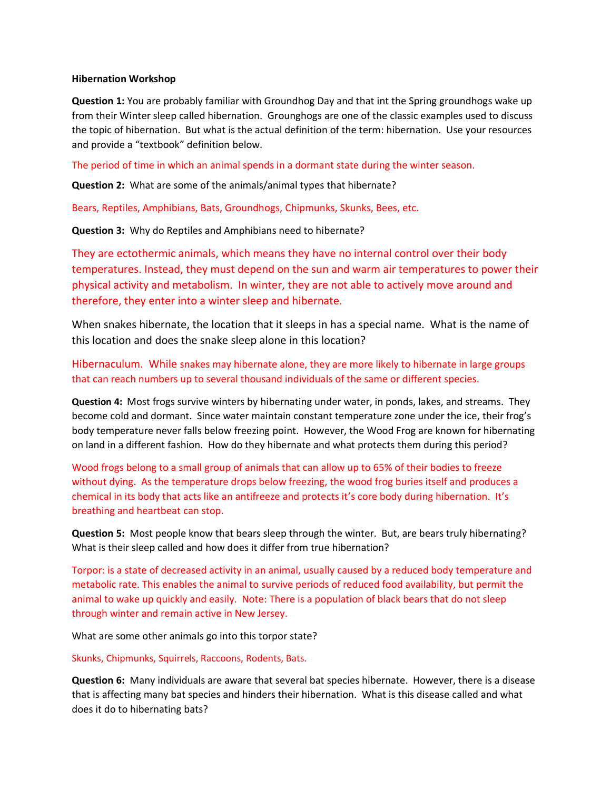## **Hibernation Workshop**

**Question 1:** You are probably familiar with Groundhog Day and that int the Spring groundhogs wake up from their Winter sleep called hibernation. Grounghogs are one of the classic examples used to discuss the topic of hibernation. But what is the actual definition of the term: hibernation. Use your resources and provide a "textbook" definition below.

The period of time in which an animal spends in a dormant state during the winter season.

**Question 2:** What are some of the animals/animal types that hibernate?

Bears, Reptiles, Amphibians, Bats, Groundhogs, Chipmunks, Skunks, Bees, etc.

**Question 3:** Why do Reptiles and Amphibians need to hibernate?

They are ectothermic animals, which means they have no internal control over their body temperatures. Instead, they must depend on the sun and warm air temperatures to power their physical activity and metabolism. In winter, they are not able to actively move around and therefore, they enter into a winter sleep and hibernate.

When snakes hibernate, the location that it sleeps in has a special name. What is the name of this location and does the snake sleep alone in this location?

Hibernaculum. While snakes may hibernate alone, they are more likely to hibernate in large groups that can reach numbers up to several thousand individuals of the same or different species.

**Question 4:** Most frogs survive winters by hibernating under water, in ponds, lakes, and streams. They become cold and dormant. Since water maintain constant temperature zone under the ice, their frog's body temperature never falls below freezing point. However, the Wood Frog are known for hibernating on land in a different fashion. How do they hibernate and what protects them during this period?

Wood frogs belong to a small group of animals that can allow up to 65% of their bodies to freeze without dying. As the temperature drops below freezing, the wood frog buries itself and produces a chemical in its body that acts like an antifreeze and protects it's core body during hibernation. It's breathing and heartbeat can stop.

**Question 5:** Most people know that bears sleep through the winter. But, are bears truly hibernating? What is their sleep called and how does it differ from true hibernation?

Torpor: is a state of decreased activity in an animal, usually caused by a reduced body temperature and metabolic rate. This enables the animal to survive periods of reduced food availability, but permit the animal to wake up quickly and easily. Note: There is a population of black bears that do not sleep through winter and remain active in New Jersey.

What are some other animals go into this torpor state?

Skunks, Chipmunks, Squirrels, Raccoons, Rodents, Bats.

**Question 6:** Many individuals are aware that several bat species hibernate. However, there is a disease that is affecting many bat species and hinders their hibernation. What is this disease called and what does it do to hibernating bats?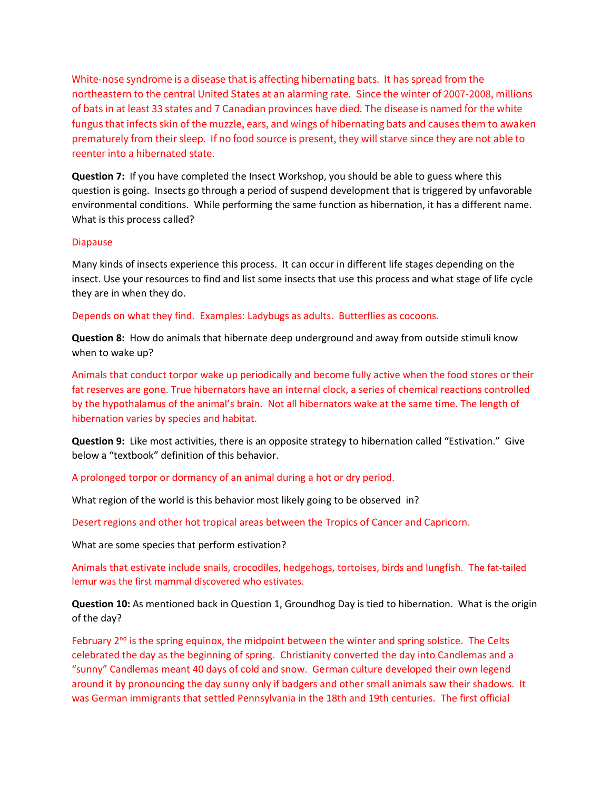White-nose syndrome is a disease that is affecting hibernating bats. It has spread from the northeastern to the central United States at an alarming rate. Since the winter of 2007-2008, millions of bats in at least 33 states and 7 Canadian provinces have died. The disease is named for the white fungus that infects skin of the muzzle, ears, and wings of hibernating bats and causes them to awaken prematurely from their sleep. If no food source is present, they will starve since they are not able to reenter into a hibernated state.

**Question 7:** If you have completed the Insect Workshop, you should be able to guess where this question is going. Insects go through a period of suspend development that is triggered by unfavorable environmental conditions. While performing the same function as hibernation, it has a different name. What is this process called?

## Diapause

Many kinds of insects experience this process. It can occur in different life stages depending on the insect. Use your resources to find and list some insects that use this process and what stage of life cycle they are in when they do.

## Depends on what they find. Examples: Ladybugs as adults. Butterflies as cocoons.

**Question 8:** How do animals that hibernate deep underground and away from outside stimuli know when to wake up?

Animals that conduct torpor wake up periodically and become fully active when the food stores or their fat reserves are gone. True hibernators have an internal clock, a series of chemical reactions controlled by the hypothalamus of the animal's brain. Not all hibernators wake at the same time. The length of hibernation varies by species and habitat.

**Question 9:** Like most activities, there is an opposite strategy to hibernation called "Estivation." Give below a "textbook" definition of this behavior.

A prolonged torpor or dormancy of an animal during a hot or dry period.

What region of the world is this behavior most likely going to be observed in?

Desert regions and other hot tropical areas between the Tropics of Cancer and Capricorn.

What are some species that perform estivation?

Animals that estivate include snails, crocodiles, hedgehogs, tortoises, birds and lungfish. The fat-tailed lemur was the first mammal discovered who estivates.

**Question 10:** As mentioned back in Question 1, Groundhog Day is tied to hibernation. What is the origin of the day?

February  $2<sup>nd</sup>$  is the spring equinox, the midpoint between the winter and spring solstice. The Celts celebrated the day as the beginning of spring. Christianity converted the day into Candlemas and a "sunny" Candlemas meant 40 days of cold and snow. German culture developed their own legend around it by pronouncing the day sunny only if badgers and other small animals saw their shadows. It was German immigrants that settled Pennsylvania in the 18th and 19th centuries. The first official